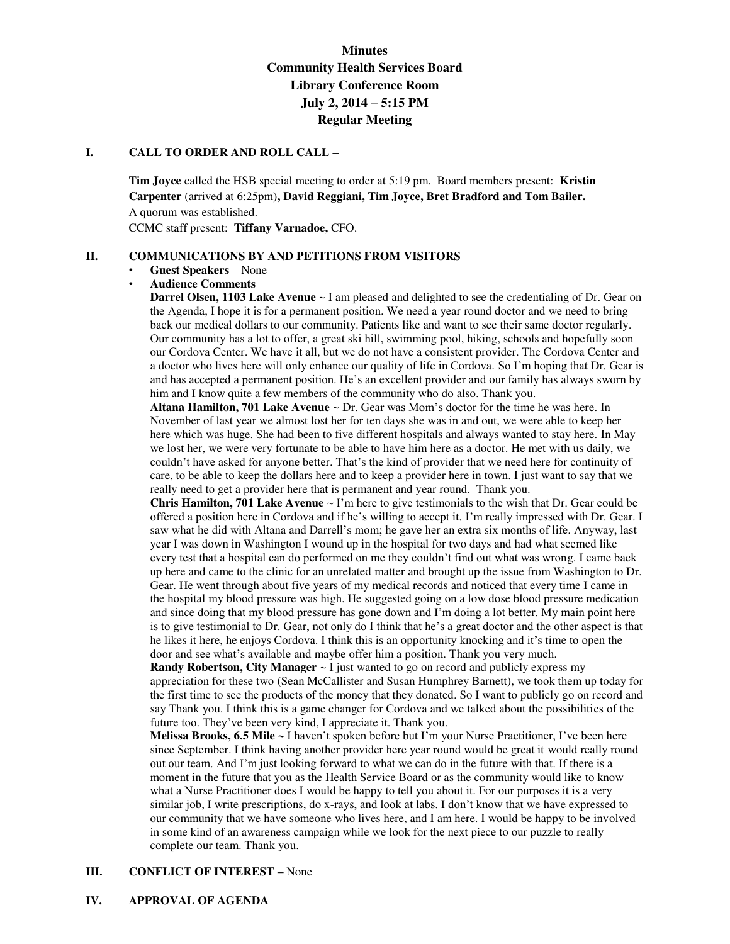# **Minutes Community Health Services Board Library Conference Room July 2, 2014 – 5:15 PM Regular Meeting**

### **I. CALL TO ORDER AND ROLL CALL –**

**Tim Joyce** called the HSB special meeting to order at 5:19 pm. Board members present: **Kristin Carpenter** (arrived at 6:25pm)**, David Reggiani, Tim Joyce, Bret Bradford and Tom Bailer.**  A quorum was established.

CCMC staff present: **Tiffany Varnadoe,** CFO.

### **II. COMMUNICATIONS BY AND PETITIONS FROM VISITORS**

#### • **Guest Speakers** – None

#### • **Audience Comments**

**Darrel Olsen, 1103 Lake Avenue** ~ I am pleased and delighted to see the credentialing of Dr. Gear on the Agenda, I hope it is for a permanent position. We need a year round doctor and we need to bring back our medical dollars to our community. Patients like and want to see their same doctor regularly. Our community has a lot to offer, a great ski hill, swimming pool, hiking, schools and hopefully soon our Cordova Center. We have it all, but we do not have a consistent provider. The Cordova Center and a doctor who lives here will only enhance our quality of life in Cordova. So I'm hoping that Dr. Gear is and has accepted a permanent position. He's an excellent provider and our family has always sworn by him and I know quite a few members of the community who do also. Thank you.

**Altana Hamilton, 701 Lake Avenue** ~ Dr. Gear was Mom's doctor for the time he was here. In November of last year we almost lost her for ten days she was in and out, we were able to keep her here which was huge. She had been to five different hospitals and always wanted to stay here. In May we lost her, we were very fortunate to be able to have him here as a doctor. He met with us daily, we couldn't have asked for anyone better. That's the kind of provider that we need here for continuity of care, to be able to keep the dollars here and to keep a provider here in town. I just want to say that we really need to get a provider here that is permanent and year round. Thank you.

**Chris Hamilton, 701 Lake Avenue**  $\sim$  I'm here to give testimonials to the wish that Dr. Gear could be offered a position here in Cordova and if he's willing to accept it. I'm really impressed with Dr. Gear. I saw what he did with Altana and Darrell's mom; he gave her an extra six months of life. Anyway, last year I was down in Washington I wound up in the hospital for two days and had what seemed like every test that a hospital can do performed on me they couldn't find out what was wrong. I came back up here and came to the clinic for an unrelated matter and brought up the issue from Washington to Dr. Gear. He went through about five years of my medical records and noticed that every time I came in the hospital my blood pressure was high. He suggested going on a low dose blood pressure medication and since doing that my blood pressure has gone down and I'm doing a lot better. My main point here is to give testimonial to Dr. Gear, not only do I think that he's a great doctor and the other aspect is that he likes it here, he enjoys Cordova. I think this is an opportunity knocking and it's time to open the door and see what's available and maybe offer him a position. Thank you very much.

**Randy Robertson, City Manager** ~ I just wanted to go on record and publicly express my appreciation for these two (Sean McCallister and Susan Humphrey Barnett), we took them up today for the first time to see the products of the money that they donated. So I want to publicly go on record and say Thank you. I think this is a game changer for Cordova and we talked about the possibilities of the future too. They've been very kind, I appreciate it. Thank you.

**Melissa Brooks, 6.5 Mile ~** I haven't spoken before but I'm your Nurse Practitioner, I've been here since September. I think having another provider here year round would be great it would really round out our team. And I'm just looking forward to what we can do in the future with that. If there is a moment in the future that you as the Health Service Board or as the community would like to know what a Nurse Practitioner does I would be happy to tell you about it. For our purposes it is a very similar job, I write prescriptions, do x-rays, and look at labs. I don't know that we have expressed to our community that we have someone who lives here, and I am here. I would be happy to be involved in some kind of an awareness campaign while we look for the next piece to our puzzle to really complete our team. Thank you.

# **III.** CONFLICT OF INTEREST – None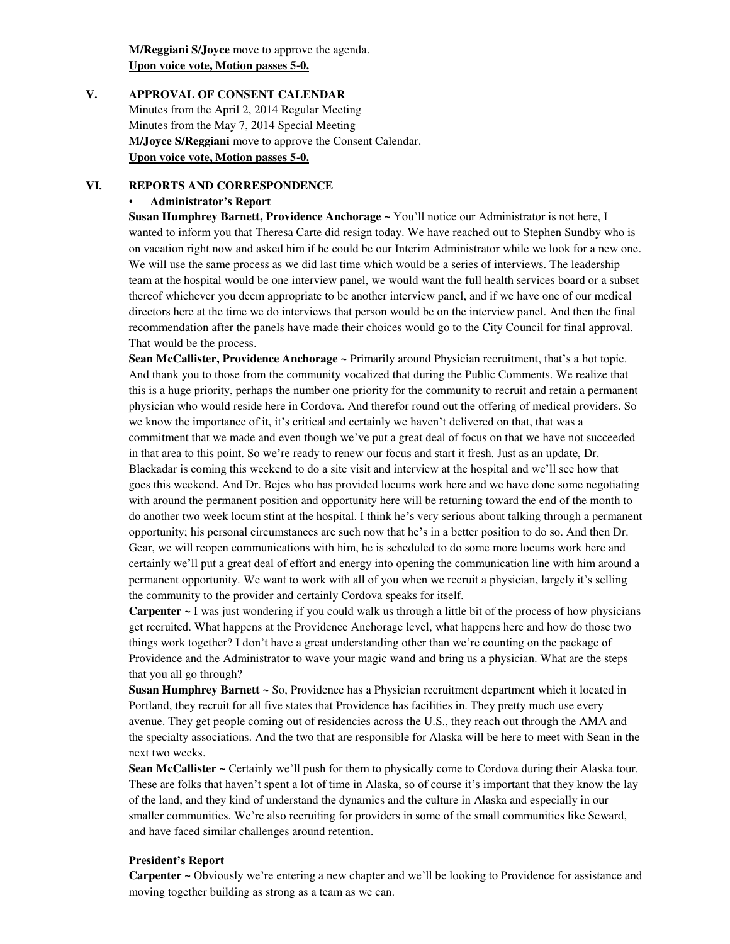**M/Reggiani S/Joyce** move to approve the agenda. **Upon voice vote, Motion passes 5-0.** 

# **V. APPROVAL OF CONSENT CALENDAR**  Minutes from the April 2, 2014 Regular Meeting Minutes from the May 7, 2014 Special Meeting **M/Joyce S/Reggiani** move to approve the Consent Calendar. **Upon voice vote, Motion passes 5-0.**

#### **VI. REPORTS AND CORRESPONDENCE**

#### • **Administrator's Report**

**Susan Humphrey Barnett, Providence Anchorage ~** You'll notice our Administrator is not here, I wanted to inform you that Theresa Carte did resign today. We have reached out to Stephen Sundby who is on vacation right now and asked him if he could be our Interim Administrator while we look for a new one. We will use the same process as we did last time which would be a series of interviews. The leadership team at the hospital would be one interview panel, we would want the full health services board or a subset thereof whichever you deem appropriate to be another interview panel, and if we have one of our medical directors here at the time we do interviews that person would be on the interview panel. And then the final recommendation after the panels have made their choices would go to the City Council for final approval. That would be the process.

**Sean McCallister, Providence Anchorage ~** Primarily around Physician recruitment, that's a hot topic. And thank you to those from the community vocalized that during the Public Comments. We realize that this is a huge priority, perhaps the number one priority for the community to recruit and retain a permanent physician who would reside here in Cordova. And therefor round out the offering of medical providers. So we know the importance of it, it's critical and certainly we haven't delivered on that, that was a commitment that we made and even though we've put a great deal of focus on that we have not succeeded in that area to this point. So we're ready to renew our focus and start it fresh. Just as an update, Dr. Blackadar is coming this weekend to do a site visit and interview at the hospital and we'll see how that goes this weekend. And Dr. Bejes who has provided locums work here and we have done some negotiating with around the permanent position and opportunity here will be returning toward the end of the month to do another two week locum stint at the hospital. I think he's very serious about talking through a permanent opportunity; his personal circumstances are such now that he's in a better position to do so. And then Dr. Gear, we will reopen communications with him, he is scheduled to do some more locums work here and certainly we'll put a great deal of effort and energy into opening the communication line with him around a permanent opportunity. We want to work with all of you when we recruit a physician, largely it's selling the community to the provider and certainly Cordova speaks for itself.

**Carpenter ~** I was just wondering if you could walk us through a little bit of the process of how physicians get recruited. What happens at the Providence Anchorage level, what happens here and how do those two things work together? I don't have a great understanding other than we're counting on the package of Providence and the Administrator to wave your magic wand and bring us a physician. What are the steps that you all go through?

**Susan Humphrey Barnett ~** So, Providence has a Physician recruitment department which it located in Portland, they recruit for all five states that Providence has facilities in. They pretty much use every avenue. They get people coming out of residencies across the U.S., they reach out through the AMA and the specialty associations. And the two that are responsible for Alaska will be here to meet with Sean in the next two weeks.

**Sean McCallister** ~ Certainly we'll push for them to physically come to Cordova during their Alaska tour. These are folks that haven't spent a lot of time in Alaska, so of course it's important that they know the lay of the land, and they kind of understand the dynamics and the culture in Alaska and especially in our smaller communities. We're also recruiting for providers in some of the small communities like Seward, and have faced similar challenges around retention.

#### **President's Report**

**Carpenter ~** Obviously we're entering a new chapter and we'll be looking to Providence for assistance and moving together building as strong as a team as we can.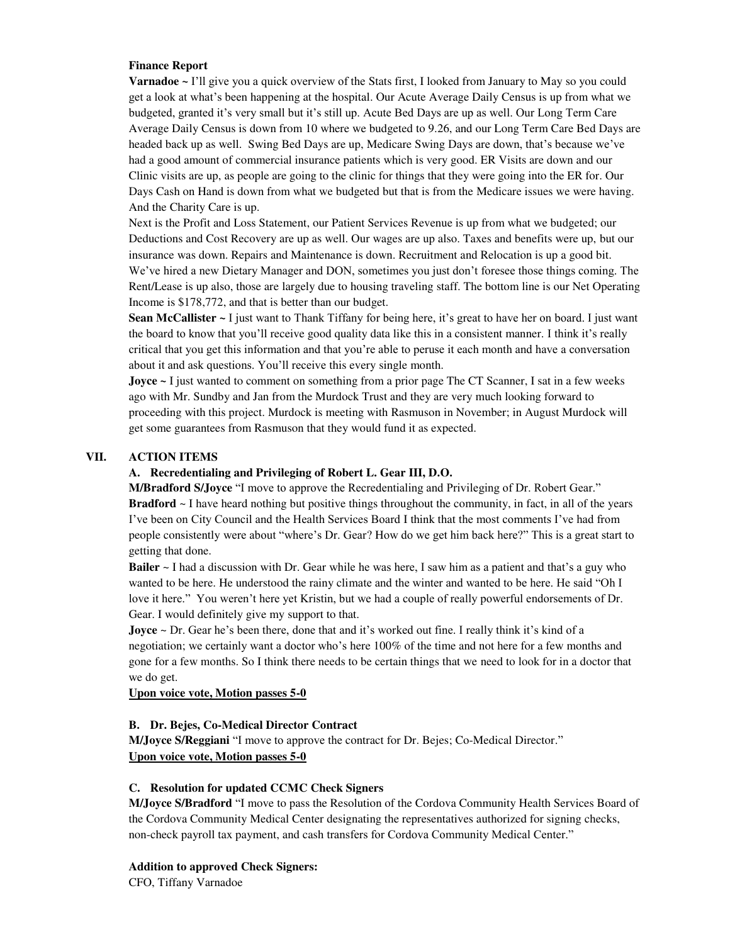### **Finance Report**

**Varnadoe ~** I'll give you a quick overview of the Stats first, I looked from January to May so you could get a look at what's been happening at the hospital. Our Acute Average Daily Census is up from what we budgeted, granted it's very small but it's still up. Acute Bed Days are up as well. Our Long Term Care Average Daily Census is down from 10 where we budgeted to 9.26, and our Long Term Care Bed Days are headed back up as well. Swing Bed Days are up, Medicare Swing Days are down, that's because we've had a good amount of commercial insurance patients which is very good. ER Visits are down and our Clinic visits are up, as people are going to the clinic for things that they were going into the ER for. Our Days Cash on Hand is down from what we budgeted but that is from the Medicare issues we were having. And the Charity Care is up.

Next is the Profit and Loss Statement, our Patient Services Revenue is up from what we budgeted; our Deductions and Cost Recovery are up as well. Our wages are up also. Taxes and benefits were up, but our insurance was down. Repairs and Maintenance is down. Recruitment and Relocation is up a good bit. We've hired a new Dietary Manager and DON, sometimes you just don't foresee those things coming. The Rent/Lease is up also, those are largely due to housing traveling staff. The bottom line is our Net Operating Income is \$178,772, and that is better than our budget.

**Sean McCallister** ~ I just want to Thank Tiffany for being here, it's great to have her on board. I just want the board to know that you'll receive good quality data like this in a consistent manner. I think it's really critical that you get this information and that you're able to peruse it each month and have a conversation about it and ask questions. You'll receive this every single month.

**Joyce** ~ I just wanted to comment on something from a prior page The CT Scanner, I sat in a few weeks ago with Mr. Sundby and Jan from the Murdock Trust and they are very much looking forward to proceeding with this project. Murdock is meeting with Rasmuson in November; in August Murdock will get some guarantees from Rasmuson that they would fund it as expected.

### **VII. ACTION ITEMS**

### **A. Recredentialing and Privileging of Robert L. Gear III, D.O.**

**M/Bradford S/Joyce** "I move to approve the Recredentialing and Privileging of Dr. Robert Gear." **Bradford** ~ I have heard nothing but positive things throughout the community, in fact, in all of the years I've been on City Council and the Health Services Board I think that the most comments I've had from people consistently were about "where's Dr. Gear? How do we get him back here?" This is a great start to getting that done.

**Bailer** ~ I had a discussion with Dr. Gear while he was here, I saw him as a patient and that's a guy who wanted to be here. He understood the rainy climate and the winter and wanted to be here. He said "Oh I love it here." You weren't here yet Kristin, but we had a couple of really powerful endorsements of Dr. Gear. I would definitely give my support to that.

**Joyce** ~ Dr. Gear he's been there, done that and it's worked out fine. I really think it's kind of a negotiation; we certainly want a doctor who's here 100% of the time and not here for a few months and gone for a few months. So I think there needs to be certain things that we need to look for in a doctor that we do get.

### **Upon voice vote, Motion passes 5-0**

### **B. Dr. Bejes, Co-Medical Director Contract**

**M/Joyce S/Reggiani** "I move to approve the contract for Dr. Bejes; Co-Medical Director." **Upon voice vote, Motion passes 5-0** 

### **C. Resolution for updated CCMC Check Signers**

**M/Joyce S/Bradford** "I move to pass the Resolution of the Cordova Community Health Services Board of the Cordova Community Medical Center designating the representatives authorized for signing checks, non-check payroll tax payment, and cash transfers for Cordova Community Medical Center."

# **Addition to approved Check Signers:**

CFO, Tiffany Varnadoe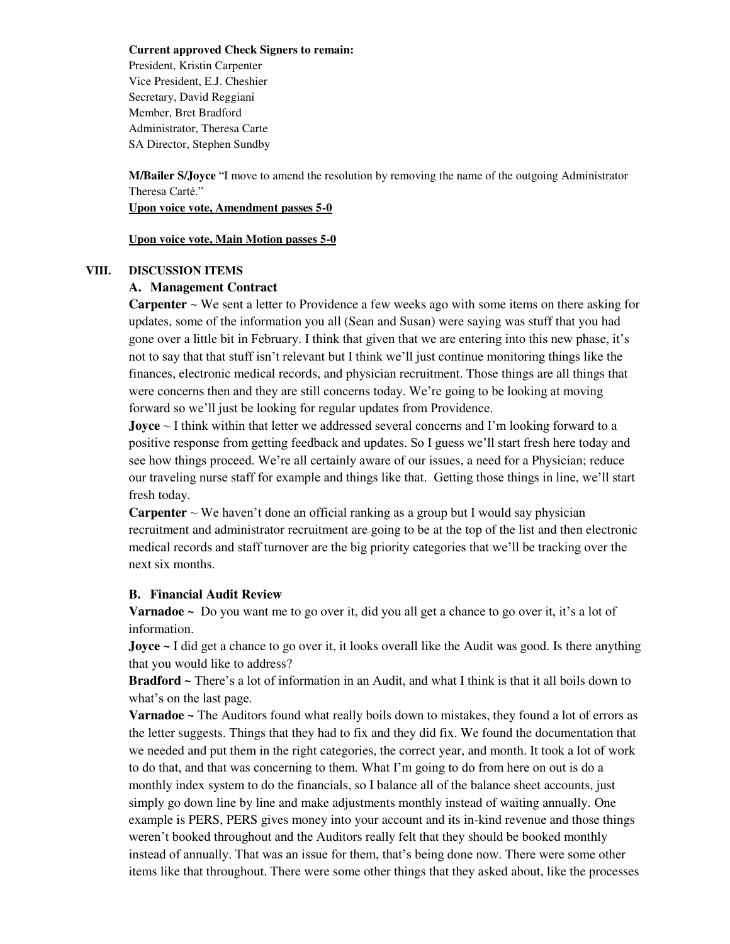**Current approved Check Signers to remain:** 

President, Kristin Carpenter Vice President, E.J. Cheshier Secretary, David Reggiani Member, Bret Bradford Administrator, Theresa Carte SA Director, Stephen Sundby

**M/Bailer S/Joyce** "I move to amend the resolution by removing the name of the outgoing Administrator Theresa Carté."

### **Upon voice vote, Amendment passes 5-0**

**Upon voice vote, Main Motion passes 5-0** 

### **VIII. DISCUSSION ITEMS**

# **A. Management Contract**

**Carpenter** ~ We sent a letter to Providence a few weeks ago with some items on there asking for updates, some of the information you all (Sean and Susan) were saying was stuff that you had gone over a little bit in February. I think that given that we are entering into this new phase, it's not to say that that stuff isn't relevant but I think we'll just continue monitoring things like the finances, electronic medical records, and physician recruitment. Those things are all things that were concerns then and they are still concerns today. We're going to be looking at moving forward so we'll just be looking for regular updates from Providence.

**Joyce** ~ I think within that letter we addressed several concerns and I'm looking forward to a positive response from getting feedback and updates. So I guess we'll start fresh here today and see how things proceed. We're all certainly aware of our issues, a need for a Physician; reduce our traveling nurse staff for example and things like that. Getting those things in line, we'll start fresh today.

**Carpenter**  $\sim$  We haven't done an official ranking as a group but I would say physician recruitment and administrator recruitment are going to be at the top of the list and then electronic medical records and staff turnover are the big priority categories that we'll be tracking over the next six months.

# **B. Financial Audit Review**

**Varnadoe** ~ Do you want me to go over it, did you all get a chance to go over it, it's a lot of information.

**Joyce ~** I did get a chance to go over it, it looks overall like the Audit was good. Is there anything that you would like to address?

**Bradford ~** There's a lot of information in an Audit, and what I think is that it all boils down to what's on the last page.

**Varnadoe ~** The Auditors found what really boils down to mistakes, they found a lot of errors as the letter suggests. Things that they had to fix and they did fix. We found the documentation that we needed and put them in the right categories, the correct year, and month. It took a lot of work to do that, and that was concerning to them. What I'm going to do from here on out is do a monthly index system to do the financials, so I balance all of the balance sheet accounts, just simply go down line by line and make adjustments monthly instead of waiting annually. One example is PERS, PERS gives money into your account and its in-kind revenue and those things weren't booked throughout and the Auditors really felt that they should be booked monthly instead of annually. That was an issue for them, that's being done now. There were some other items like that throughout. There were some other things that they asked about, like the processes